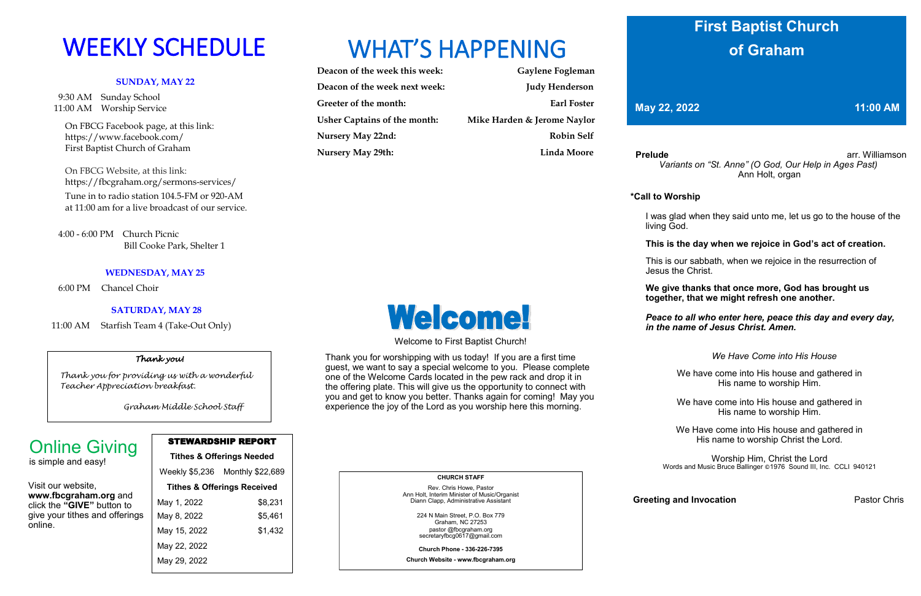#### **SUNDAY, MAY 22**

 9:30 AM Sunday School 11:00 AM Worship Service

 On FBCG Facebook page, at this link: [https://www.facebook.com/](https://www.facebook.com/First%20Baptist%20Church%20of%20Graham)  [First Baptist Church of Graham](https://www.facebook.com/First%20Baptist%20Church%20of%20Graham)

 On FBCG Website, at this link: <https://fbcgraham.org/sermons-services/>

 Tune in to radio station 104.5-FM or 920-AM at 11:00 am for a live broadcast of our service.

 4:00 - 6:00 PM Church Picnic Bill Cooke Park, Shelter 1

#### **WEDNESDAY, MAY 25**

6:00 PM Chancel Choir

#### **SATURDAY, MAY 28**

11:00 AM Starfish Team 4 (Take-Out Only)

| Deacon of the week this week:       | Gaylene Fogleman            |
|-------------------------------------|-----------------------------|
| Deacon of the week next week:       | <b>Judy Henderson</b>       |
| Greeter of the month:               | Earl Foster                 |
| <b>Usher Captains of the month:</b> | Mike Harden & Jerome Naylor |
| Nursery May 22nd:                   | <b>Robin Self</b>           |
| <b>Nursery May 29th:</b>            | <b>Linda Moore</b>          |

**Prelude arrangement arrangement arrangement arrangement arrangement arrangement arrangement arrangement arrangement arrangement arrangement arrangement arrangement arrangement arrangement arrangement arrangement arrange** *Variants on "St. Anne" (O God, Our Help in Ages Past)* Ann Holt, organ

#### STEWARDSHIP REPORT

**Tithes & Offerings Needed** Weekly \$5,236 Monthly \$22,689 **Tithes & Offerings Received** May 1, 2022 \$8,231 May 8, 2022 \$5,461 May 15, 2022 \$1,432 May 22, 2022 May 29, 2022

# WEEKLY SCHEDULE WHAT'S HAPPENING

Visit our website, **www.fbcgraham.org** and click the **"GIVE"** button to give your tithes and offerings online.

# Online Giving

is simple and easy!

 **CHURCH STAFF**

Rev. Chris Howe, Pastor Ann Holt, Interim Minister of Music/Organist Diann Clapp, Administrative Assistant

224 N Main Street, P.O. Box 779

Graham, NC 27253 pastor @fbcgraham.org secretaryfbcg0617@gmail.com

**Church Phone - 336-226-7395**

**Church Website - www.fbcgraham.org**



# Welcome!

#### **\*Call to Worship**

 I was glad when they said unto me, let us go to the house of the living God.

#### **This is the day when we rejoice in God's act of creation.**

 This is our sabbath, when we rejoice in the resurrection of Jesus the Christ.

#### **We give thanks that once more, God has brought us together, that we might refresh one another.**

#### *Peace to all who enter here, peace this day and every day, in the name of Jesus Christ. Amen.*

#### *We Have Come into His House*

We have come into His house and gathered in His name to worship Him.

We have come into His house and gathered in His name to worship Him.

We Have come into His house and gathered in His name to worship Christ the Lord.

Worship Him, Christ the Lord Words and Music Bruce Ballinger ©1976 Sound III, Inc. CCLI 940121

**Greeting and Invocation Pastor Chris** 

Welcome to First Baptist Church!

Thank you for worshipping with us today! If you are a first time guest, we want to say a special welcome to you. Please complete one of the Welcome Cards located in the pew rack and drop it in the offering plate. This will give us the opportunity to connect with you and get to know you better. Thanks again for coming! May you experience the joy of the Lord as you worship here this morning.

# **First Baptist Church of Graham**

**May 22, 2022 11:00 AM** 

#### *Thank you!*

 *Thank you for providing us with a wonderful Teacher Appreciation breakfast.*

 *Graham Middle School Staff*